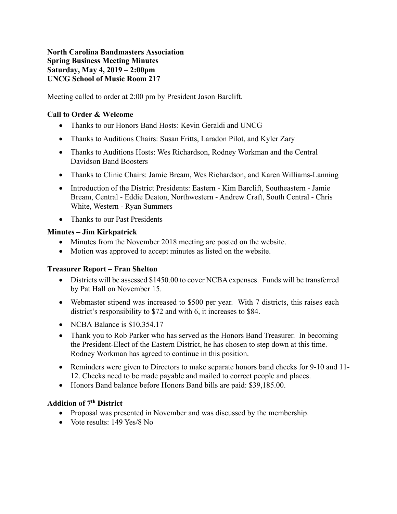## **North Carolina Bandmasters Association Spring Business Meeting Minutes Saturday, May 4, 2019 – 2:00pm UNCG School of Music Room 217**

Meeting called to order at 2:00 pm by President Jason Barclift.

# **Call to Order & Welcome**

- Thanks to our Honors Band Hosts: Kevin Geraldi and UNCG
- Thanks to Auditions Chairs: Susan Fritts, Laradon Pilot, and Kyler Zary
- Thanks to Auditions Hosts: Wes Richardson, Rodney Workman and the Central Davidson Band Boosters
- Thanks to Clinic Chairs: Jamie Bream, Wes Richardson, and Karen Williams-Lanning
- Introduction of the District Presidents: Eastern Kim Barclift, Southeastern Jamie Bream, Central - Eddie Deaton, Northwestern - Andrew Craft, South Central - Chris White, Western - Ryan Summers
- Thanks to our Past Presidents

## **Minutes – Jim Kirkpatrick**

- Minutes from the November 2018 meeting are posted on the website.
- Motion was approved to accept minutes as listed on the website.

## **Treasurer Report – Fran Shelton**

- Districts will be assessed \$1450.00 to cover NCBA expenses. Funds will be transferred by Pat Hall on November 15.
- Webmaster stipend was increased to \$500 per year. With 7 districts, this raises each district's responsibility to \$72 and with 6, it increases to \$84.
- NCBA Balance is \$10,354.17
- Thank you to Rob Parker who has served as the Honors Band Treasurer. In becoming the President-Elect of the Eastern District, he has chosen to step down at this time. Rodney Workman has agreed to continue in this position.
- Reminders were given to Directors to make separate honors band checks for 9-10 and 11-12. Checks need to be made payable and mailed to correct people and places.
- Honors Band balance before Honors Band bills are paid: \$39,185.00.

# **Addition of 7th District**

- Proposal was presented in November and was discussed by the membership.
- Vote results: 149 Yes/8 No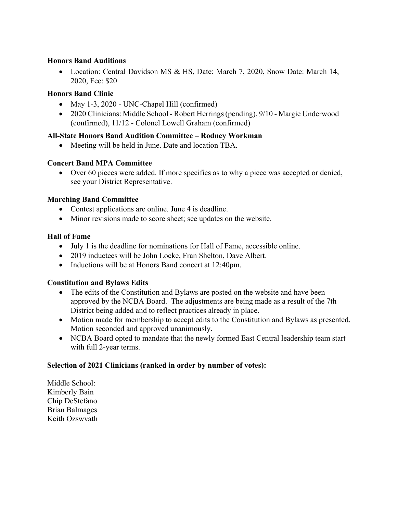## **Honors Band Auditions**

• Location: Central Davidson MS & HS, Date: March 7, 2020, Snow Date: March 14, 2020, Fee: \$20

## **Honors Band Clinic**

- May 1-3, 2020 UNC-Chapel Hill (confirmed)
- 2020 Clinicians: Middle School Robert Herrings (pending), 9/10 Margie Underwood (confirmed), 11/12 - Colonel Lowell Graham (confirmed)

#### **All-State Honors Band Audition Committee – Rodney Workman**

• Meeting will be held in June. Date and location TBA.

#### **Concert Band MPA Committee**

• Over 60 pieces were added. If more specifics as to why a piece was accepted or denied, see your District Representative.

#### **Marching Band Committee**

- Contest applications are online. June 4 is deadline.
- Minor revisions made to score sheet; see updates on the website.

#### **Hall of Fame**

- July 1 is the deadline for nominations for Hall of Fame, accessible online.
- 2019 inductees will be John Locke, Fran Shelton, Dave Albert.
- Inductions will be at Honors Band concert at 12:40pm.

## **Constitution and Bylaws Edits**

- The edits of the Constitution and Bylaws are posted on the website and have been approved by the NCBA Board. The adjustments are being made as a result of the 7th District being added and to reflect practices already in place.
- Motion made for membership to accept edits to the Constitution and Bylaws as presented. Motion seconded and approved unanimously.
- NCBA Board opted to mandate that the newly formed East Central leadership team start with full 2-year terms.

## **Selection of 2021 Clinicians (ranked in order by number of votes):**

Middle School: Kimberly Bain Chip DeStefano Brian Balmages Keith Ozswvath